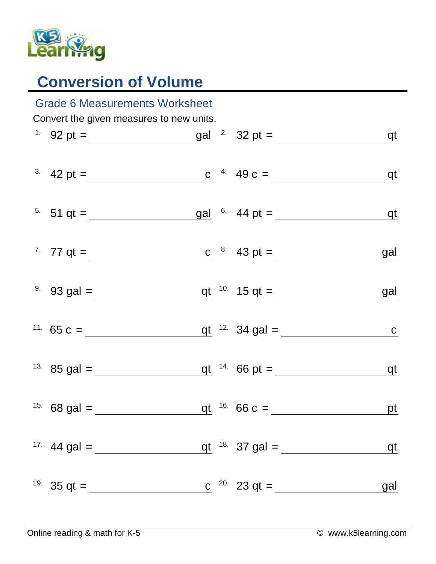

## **Conversion of Volume**

| <b>Grade 6 Measurements Worksheet</b>    |                                              |  |  |                                                                  |            |  |  |  |  |
|------------------------------------------|----------------------------------------------|--|--|------------------------------------------------------------------|------------|--|--|--|--|
| Convert the given measures to new units. |                                              |  |  |                                                                  |            |  |  |  |  |
|                                          |                                              |  |  |                                                                  | <u>qt</u>  |  |  |  |  |
|                                          |                                              |  |  | <sup>3</sup> 42 pt = <u>c</u> <sup>4</sup> 49 c = qt             |            |  |  |  |  |
|                                          |                                              |  |  | <sup>5</sup> 51 qt = $\frac{gal}{cm}$ 6 44 pt = $\frac{gal}{cm}$ |            |  |  |  |  |
|                                          |                                              |  |  | <sup>7</sup> 77 qt = $\frac{c}{c}$ <sup>8</sup> 43 pt =          | gal        |  |  |  |  |
|                                          |                                              |  |  |                                                                  | gal        |  |  |  |  |
|                                          |                                              |  |  | <sup>11.</sup> 65 c = $q t^{12}$ 34 gal = $q$                    |            |  |  |  |  |
|                                          |                                              |  |  |                                                                  | $q$ t      |  |  |  |  |
|                                          | <sup>15.</sup> 68 gal =                      |  |  | $q t$ <sup>16.</sup> 66 c =                                      | <u>pt</u>  |  |  |  |  |
|                                          | <sup>17.</sup> 44 gal = $\frac{1}{\sqrt{2}}$ |  |  | qt $18.37$ gal =                                                 | qt         |  |  |  |  |
|                                          | <sup>19.</sup> 35 qt = $\frac{ }{ }$         |  |  | c $^{20}$ 23 qt =                                                | <u>gal</u> |  |  |  |  |